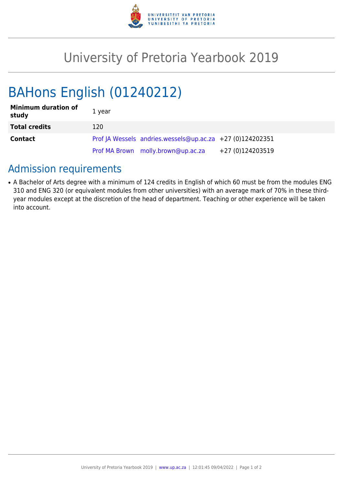

## University of Pretoria Yearbook 2019

# BAHons English (01240212)

| <b>Minimum duration of</b><br>study | 1 year |                                                           |                  |
|-------------------------------------|--------|-----------------------------------------------------------|------------------|
| <b>Total credits</b>                | 120    |                                                           |                  |
| <b>Contact</b>                      |        | Prof JA Wessels andries.wessels@up.ac.za +27 (0)124202351 |                  |
|                                     |        | Prof MA Brown molly.brown@up.ac.za                        | +27 (0)124203519 |

### Admission requirements

• A Bachelor of Arts degree with a minimum of 124 credits in English of which 60 must be from the modules ENG 310 and ENG 320 (or equivalent modules from other universities) with an average mark of 70% in these thirdyear modules except at the discretion of the head of department. Teaching or other experience will be taken into account.